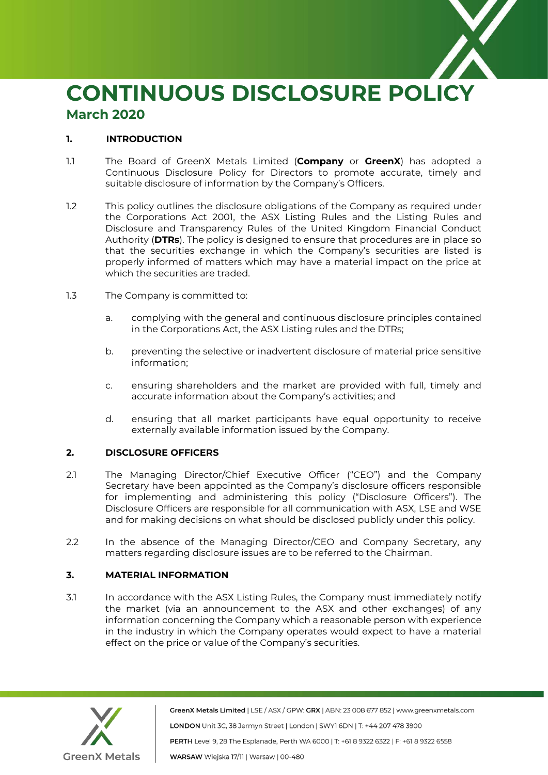

# **CONTINUOUS DISCLOSURE POLICY March 2020**

## **1. INTRODUCTION**

- 1.1 The Board of GreenX Metals Limited (**Company** or **GreenX**) has adopted a Continuous Disclosure Policy for Directors to promote accurate, timely and suitable disclosure of information by the Company's Officers.
- 1.2 This policy outlines the disclosure obligations of the Company as required under the Corporations Act 2001, the ASX Listing Rules and the Listing Rules and Disclosure and Transparency Rules of the United Kingdom Financial Conduct Authority (**DTRs**). The policy is designed to ensure that procedures are in place so that the securities exchange in which the Company's securities are listed is properly informed of matters which may have a material impact on the price at which the securities are traded.
- 1.3 The Company is committed to:
	- a. complying with the general and continuous disclosure principles contained in the Corporations Act, the ASX Listing rules and the DTRs;
	- b. preventing the selective or inadvertent disclosure of material price sensitive information;
	- c. ensuring shareholders and the market are provided with full, timely and accurate information about the Company's activities; and
	- d. ensuring that all market participants have equal opportunity to receive externally available information issued by the Company.

# **2. DISCLOSURE OFFICERS**

- 2.1 The Managing Director/Chief Executive Officer ("CEO") and the Company Secretary have been appointed as the Company's disclosure officers responsible for implementing and administering this policy ("Disclosure Officers"). The Disclosure Officers are responsible for all communication with ASX, LSE and WSE and for making decisions on what should be disclosed publicly under this policy.
- 2.2 In the absence of the Managing Director/CEO and Company Secretary, any matters regarding disclosure issues are to be referred to the Chairman.

# **3. MATERIAL INFORMATION**

3.1 In accordance with the ASX Listing Rules, the Company must immediately notify the market (via an announcement to the ASX and other exchanges) of any information concerning the Company which a reasonable person with experience in the industry in which the Company operates would expect to have a material effect on the price or value of the Company's securities.



GreenX Metals Limited | LSE / ASX / GPW: GRX | ABN: 23 008 677 852 | www.greenxmetals.com LONDON Unit 3C, 38 Jermyn Street | London | SWY1 6DN | T: +44 207 478 3900 PERTH Level 9, 28 The Esplanade, Perth WA 6000 | T: +61 8 9322 6322 | F: +61 8 9322 6558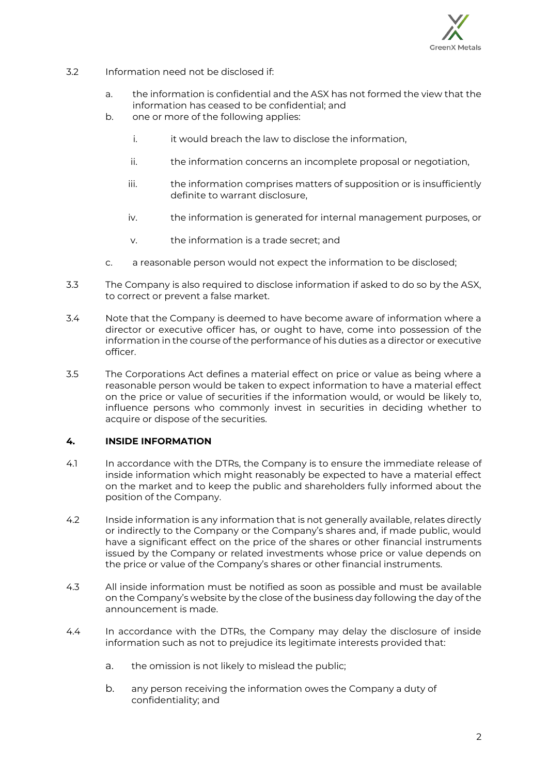

- 3.2 Information need not be disclosed if:
	- a. the information is confidential and the ASX has not formed the view that the information has ceased to be confidential; and
	- b. one or more of the following applies:
		- i. it would breach the law to disclose the information,
		- ii. the information concerns an incomplete proposal or negotiation,
		- iii. the information comprises matters of supposition or is insufficiently definite to warrant disclosure,
		- iv. the information is generated for internal management purposes, or
		- v. the information is a trade secret; and
	- c. a reasonable person would not expect the information to be disclosed;
- 3.3 The Company is also required to disclose information if asked to do so by the ASX, to correct or prevent a false market.
- 3.4 Note that the Company is deemed to have become aware of information where a director or executive officer has, or ought to have, come into possession of the information in the course of the performance of his duties as a director or executive officer.
- 3.5 The Corporations Act defines a material effect on price or value as being where a reasonable person would be taken to expect information to have a material effect on the price or value of securities if the information would, or would be likely to, influence persons who commonly invest in securities in deciding whether to acquire or dispose of the securities.

#### **4. INSIDE INFORMATION**

- 4.1 In accordance with the DTRs, the Company is to ensure the immediate release of inside information which might reasonably be expected to have a material effect on the market and to keep the public and shareholders fully informed about the position of the Company.
- 4.2 Inside information is any information that is not generally available, relates directly or indirectly to the Company or the Company's shares and, if made public, would have a significant effect on the price of the shares or other financial instruments issued by the Company or related investments whose price or value depends on the price or value of the Company's shares or other financial instruments.
- 4.3 All inside information must be notified as soon as possible and must be available on the Company's website by the close of the business day following the day of the announcement is made.
- 4.4 In accordance with the DTRs, the Company may delay the disclosure of inside information such as not to prejudice its legitimate interests provided that:
	- a. the omission is not likely to mislead the public;
	- b. any person receiving the information owes the Company a duty of confidentiality; and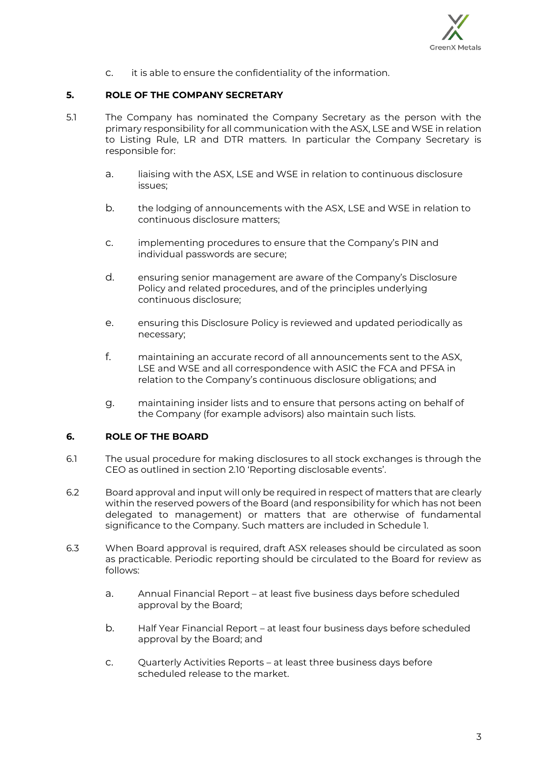

c. it is able to ensure the confidentiality of the information.

## **5. ROLE OF THE COMPANY SECRETARY**

- 5.1 The Company has nominated the Company Secretary as the person with the primary responsibility for all communication with the ASX, LSE and WSE in relation to Listing Rule, LR and DTR matters. In particular the Company Secretary is responsible for:
	- a. liaising with the ASX, LSE and WSE in relation to continuous disclosure issues;
	- b. the lodging of announcements with the ASX, LSE and WSE in relation to continuous disclosure matters;
	- c. implementing procedures to ensure that the Company's PIN and individual passwords are secure;
	- d. ensuring senior management are aware of the Company's Disclosure Policy and related procedures, and of the principles underlying continuous disclosure;
	- e. ensuring this Disclosure Policy is reviewed and updated periodically as necessary;
	- f. maintaining an accurate record of all announcements sent to the ASX, LSE and WSE and all correspondence with ASIC the FCA and PFSA in relation to the Company's continuous disclosure obligations; and
	- g. maintaining insider lists and to ensure that persons acting on behalf of the Company (for example advisors) also maintain such lists.

#### **6. ROLE OF THE BOARD**

- 6.1 The usual procedure for making disclosures to all stock exchanges is through the CEO as outlined in section 2.10 'Reporting disclosable events'.
- 6.2 Board approval and input will only be required in respect of matters that are clearly within the reserved powers of the Board (and responsibility for which has not been delegated to management) or matters that are otherwise of fundamental significance to the Company. Such matters are included in Schedule 1.
- 6.3 When Board approval is required, draft ASX releases should be circulated as soon as practicable. Periodic reporting should be circulated to the Board for review as follows:
	- a. Annual Financial Report at least five business days before scheduled approval by the Board;
	- b. Half Year Financial Report at least four business days before scheduled approval by the Board; and
	- c. Quarterly Activities Reports at least three business days before scheduled release to the market.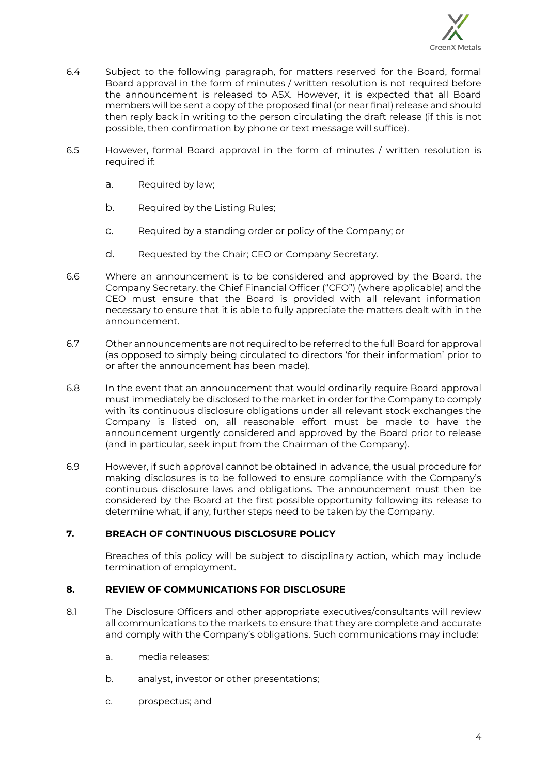

- 6.4 Subject to the following paragraph, for matters reserved for the Board, formal Board approval in the form of minutes / written resolution is not required before the announcement is released to ASX. However, it is expected that all Board members will be sent a copy of the proposed final (or near final) release and should then reply back in writing to the person circulating the draft release (if this is not possible, then confirmation by phone or text message will suffice).
- 6.5 However, formal Board approval in the form of minutes / written resolution is required if:
	- a. Required by law;
	- b. Required by the Listing Rules;
	- c. Required by a standing order or policy of the Company; or
	- d. Requested by the Chair; CEO or Company Secretary.
- 6.6 Where an announcement is to be considered and approved by the Board, the Company Secretary, the Chief Financial Officer ("CFO") (where applicable) and the CEO must ensure that the Board is provided with all relevant information necessary to ensure that it is able to fully appreciate the matters dealt with in the announcement.
- 6.7 Other announcements are not required to be referred to the full Board for approval (as opposed to simply being circulated to directors 'for their information' prior to or after the announcement has been made).
- 6.8 In the event that an announcement that would ordinarily require Board approval must immediately be disclosed to the market in order for the Company to comply with its continuous disclosure obligations under all relevant stock exchanges the Company is listed on, all reasonable effort must be made to have the announcement urgently considered and approved by the Board prior to release (and in particular, seek input from the Chairman of the Company).
- 6.9 However, if such approval cannot be obtained in advance, the usual procedure for making disclosures is to be followed to ensure compliance with the Company's continuous disclosure laws and obligations. The announcement must then be considered by the Board at the first possible opportunity following its release to determine what, if any, further steps need to be taken by the Company.

# **7. BREACH OF CONTINUOUS DISCLOSURE POLICY**

Breaches of this policy will be subject to disciplinary action, which may include termination of employment.

#### **8. REVIEW OF COMMUNICATIONS FOR DISCLOSURE**

- 8.1 The Disclosure Officers and other appropriate executives/consultants will review all communications to the markets to ensure that they are complete and accurate and comply with the Company's obligations. Such communications may include:
	- a. media releases;
	- b. analyst, investor or other presentations;
	- c. prospectus; and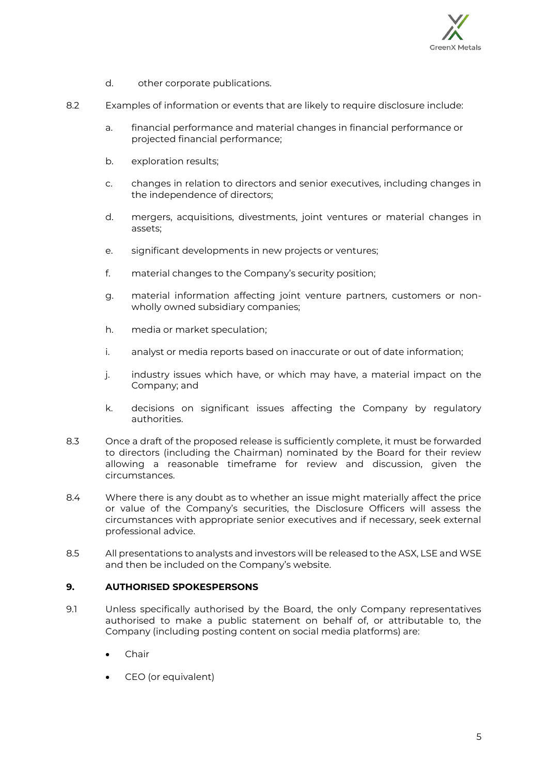

- d. other corporate publications.
- 8.2 Examples of information or events that are likely to require disclosure include:
	- a. financial performance and material changes in financial performance or projected financial performance;
	- b. exploration results;
	- c. changes in relation to directors and senior executives, including changes in the independence of directors;
	- d. mergers, acquisitions, divestments, joint ventures or material changes in assets;
	- e. significant developments in new projects or ventures;
	- f. material changes to the Company's security position;
	- g. material information affecting joint venture partners, customers or nonwholly owned subsidiary companies;
	- h. media or market speculation;
	- i. analyst or media reports based on inaccurate or out of date information;
	- j. industry issues which have, or which may have, a material impact on the Company; and
	- k. decisions on significant issues affecting the Company by regulatory authorities.
- 8.3 Once a draft of the proposed release is sufficiently complete, it must be forwarded to directors (including the Chairman) nominated by the Board for their review allowing a reasonable timeframe for review and discussion, given the circumstances.
- 8.4 Where there is any doubt as to whether an issue might materially affect the price or value of the Company's securities, the Disclosure Officers will assess the circumstances with appropriate senior executives and if necessary, seek external professional advice.
- 8.5 All presentations to analysts and investors will be released to the ASX, LSE and WSE and then be included on the Company's website.

#### **9. AUTHORISED SPOKESPERSONS**

- 9.1 Unless specifically authorised by the Board, the only Company representatives authorised to make a public statement on behalf of, or attributable to, the Company (including posting content on social media platforms) are:
	- Chair
	- CEO (or equivalent)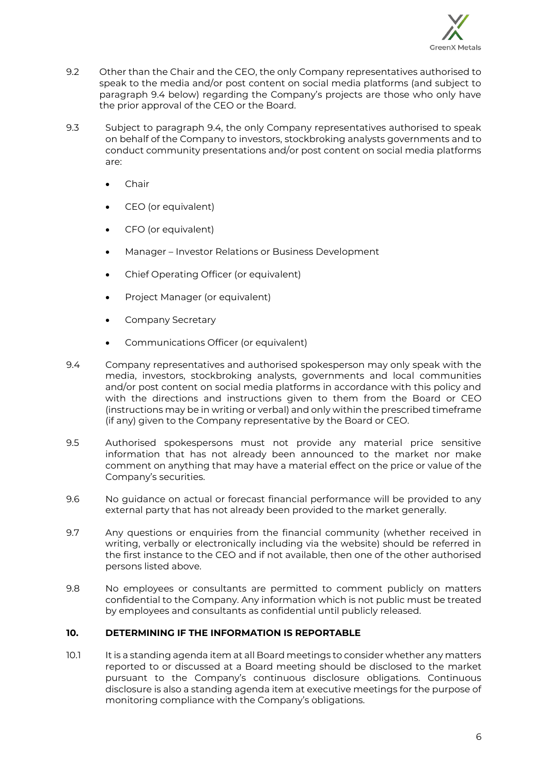

- 9.2 Other than the Chair and the CEO, the only Company representatives authorised to speak to the media and/or post content on social media platforms (and subject to paragraph 9.4 below) regarding the Company's projects are those who only have the prior approval of the CEO or the Board.
- 9.3 Subject to paragraph 9.4, the only Company representatives authorised to speak on behalf of the Company to investors, stockbroking analysts governments and to conduct community presentations and/or post content on social media platforms are:
	- Chair
	- CEO (or equivalent)
	- CFO (or equivalent)
	- Manager Investor Relations or Business Development
	- Chief Operating Officer (or equivalent)
	- Project Manager (or equivalent)
	- Company Secretary
	- Communications Officer (or equivalent)
- 9.4 Company representatives and authorised spokesperson may only speak with the media, investors, stockbroking analysts, governments and local communities and/or post content on social media platforms in accordance with this policy and with the directions and instructions given to them from the Board or CEO (instructions may be in writing or verbal) and only within the prescribed timeframe (if any) given to the Company representative by the Board or CEO.
- 9.5 Authorised spokespersons must not provide any material price sensitive information that has not already been announced to the market nor make comment on anything that may have a material effect on the price or value of the Company's securities.
- 9.6 No guidance on actual or forecast financial performance will be provided to any external party that has not already been provided to the market generally.
- 9.7 Any questions or enquiries from the financial community (whether received in writing, verbally or electronically including via the website) should be referred in the first instance to the CEO and if not available, then one of the other authorised persons listed above.
- 9.8 No employees or consultants are permitted to comment publicly on matters confidential to the Company. Any information which is not public must be treated by employees and consultants as confidential until publicly released.

#### **10. DETERMINING IF THE INFORMATION IS REPORTABLE**

10.1 It is a standing agenda item at all Board meetings to consider whether any matters reported to or discussed at a Board meeting should be disclosed to the market pursuant to the Company's continuous disclosure obligations. Continuous disclosure is also a standing agenda item at executive meetings for the purpose of monitoring compliance with the Company's obligations.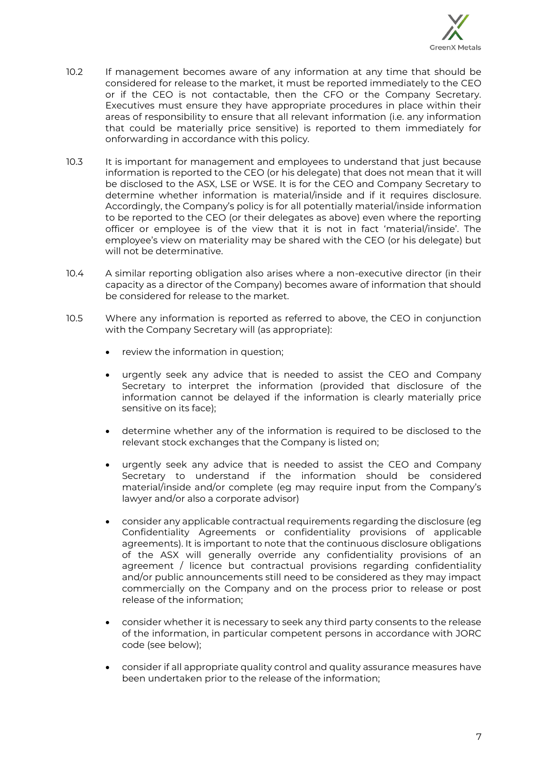

- 10.2 If management becomes aware of any information at any time that should be considered for release to the market, it must be reported immediately to the CEO or if the CEO is not contactable, then the CFO or the Company Secretary. Executives must ensure they have appropriate procedures in place within their areas of responsibility to ensure that all relevant information (i.e. any information that could be materially price sensitive) is reported to them immediately for onforwarding in accordance with this policy.
- 10.3 It is important for management and employees to understand that just because information is reported to the CEO (or his delegate) that does not mean that it will be disclosed to the ASX, LSE or WSE. It is for the CEO and Company Secretary to determine whether information is material/inside and if it requires disclosure. Accordingly, the Company's policy is for all potentially material/inside information to be reported to the CEO (or their delegates as above) even where the reporting officer or employee is of the view that it is not in fact 'material/inside'. The employee's view on materiality may be shared with the CEO (or his delegate) but will not be determinative.
- 10.4 A similar reporting obligation also arises where a non-executive director (in their capacity as a director of the Company) becomes aware of information that should be considered for release to the market.
- 10.5 Where any information is reported as referred to above, the CEO in conjunction with the Company Secretary will (as appropriate):
	- review the information in question;
	- urgently seek any advice that is needed to assist the CEO and Company Secretary to interpret the information (provided that disclosure of the information cannot be delayed if the information is clearly materially price sensitive on its face);
	- determine whether any of the information is required to be disclosed to the relevant stock exchanges that the Company is listed on;
	- urgently seek any advice that is needed to assist the CEO and Company Secretary to understand if the information should be considered material/inside and/or complete (eg may require input from the Company's lawyer and/or also a corporate advisor)
	- consider any applicable contractual requirements regarding the disclosure (eg Confidentiality Agreements or confidentiality provisions of applicable agreements). It is important to note that the continuous disclosure obligations of the ASX will generally override any confidentiality provisions of an agreement / licence but contractual provisions regarding confidentiality and/or public announcements still need to be considered as they may impact commercially on the Company and on the process prior to release or post release of the information;
	- consider whether it is necessary to seek any third party consents to the release of the information, in particular competent persons in accordance with JORC code (see below);
	- consider if all appropriate quality control and quality assurance measures have been undertaken prior to the release of the information;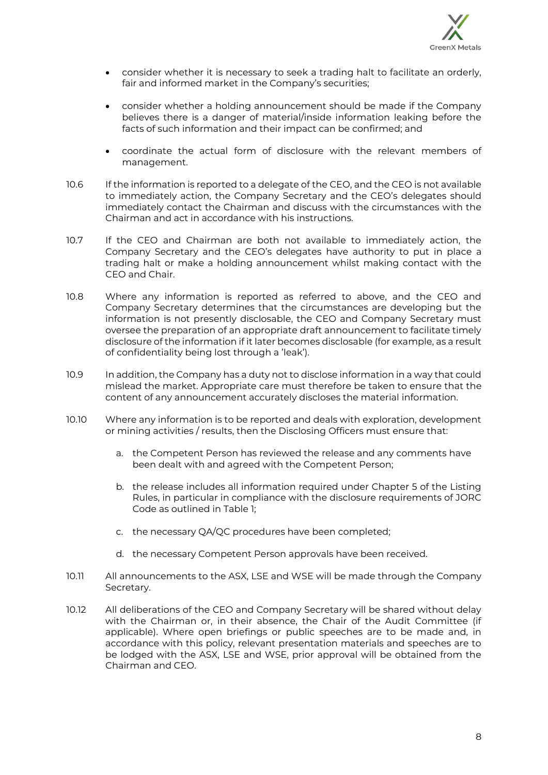

- consider whether it is necessary to seek a trading halt to facilitate an orderly, fair and informed market in the Company's securities;
- consider whether a holding announcement should be made if the Company believes there is a danger of material/inside information leaking before the facts of such information and their impact can be confirmed; and
- coordinate the actual form of disclosure with the relevant members of management.
- 10.6 If the information is reported to a delegate of the CEO, and the CEO is not available to immediately action, the Company Secretary and the CEO's delegates should immediately contact the Chairman and discuss with the circumstances with the Chairman and act in accordance with his instructions.
- 10.7 If the CEO and Chairman are both not available to immediately action, the Company Secretary and the CEO's delegates have authority to put in place a trading halt or make a holding announcement whilst making contact with the CEO and Chair.
- 10.8 Where any information is reported as referred to above, and the CEO and Company Secretary determines that the circumstances are developing but the information is not presently disclosable, the CEO and Company Secretary must oversee the preparation of an appropriate draft announcement to facilitate timely disclosure of the information if it later becomes disclosable (for example, as a result of confidentiality being lost through a 'leak').
- 10.9 In addition, the Company has a duty not to disclose information in a way that could mislead the market. Appropriate care must therefore be taken to ensure that the content of any announcement accurately discloses the material information.
- 10.10 Where any information is to be reported and deals with exploration, development or mining activities / results, then the Disclosing Officers must ensure that:
	- a. the Competent Person has reviewed the release and any comments have been dealt with and agreed with the Competent Person;
	- b. the release includes all information required under Chapter 5 of the Listing Rules, in particular in compliance with the disclosure requirements of JORC Code as outlined in Table 1;
	- c. the necessary QA/QC procedures have been completed;
	- d. the necessary Competent Person approvals have been received.
- 10.11 All announcements to the ASX, LSE and WSE will be made through the Company Secretary.
- 10.12 All deliberations of the CEO and Company Secretary will be shared without delay with the Chairman or, in their absence, the Chair of the Audit Committee (if applicable). Where open briefings or public speeches are to be made and, in accordance with this policy, relevant presentation materials and speeches are to be lodged with the ASX, LSE and WSE, prior approval will be obtained from the Chairman and CEO.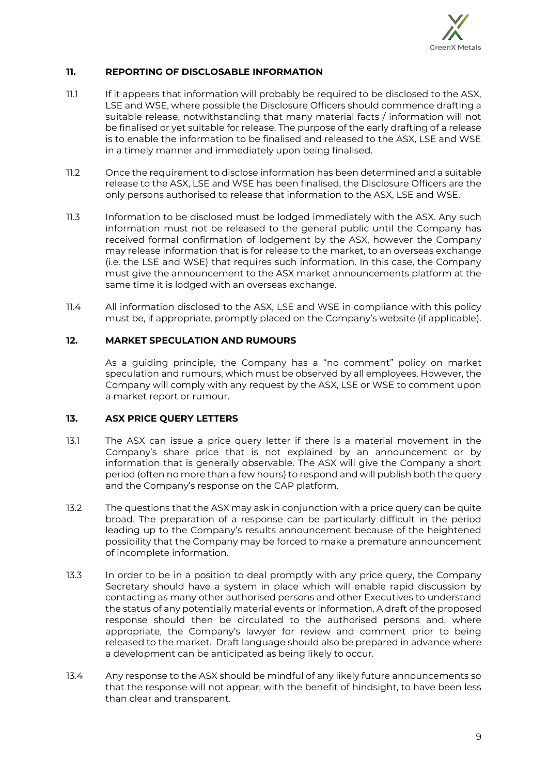

## **11. REPORTING OF DISCLOSABLE INFORMATION**

- 11.1 If it appears that information will probably be required to be disclosed to the ASX, LSE and WSE, where possible the Disclosure Officers should commence drafting a suitable release, notwithstanding that many material facts / information will not be finalised or yet suitable for release. The purpose of the early drafting of a release is to enable the information to be finalised and released to the ASX, LSE and WSE in a timely manner and immediately upon being finalised.
- 11.2 Once the requirement to disclose information has been determined and a suitable release to the ASX, LSE and WSE has been finalised, the Disclosure Officers are the only persons authorised to release that information to the ASX, LSE and WSE.
- 11.3 Information to be disclosed must be lodged immediately with the ASX. Any such information must not be released to the general public until the Company has received formal confirmation of lodgement by the ASX, however the Company may release information that is for release to the market, to an overseas exchange (i.e. the LSE and WSE) that requires such information. In this case, the Company must give the announcement to the ASX market announcements platform at the same time it is lodged with an overseas exchange.
- 11.4 All information disclosed to the ASX, LSE and WSE in compliance with this policy must be, if appropriate, promptly placed on the Company's website (if applicable).

## **12. MARKET SPECULATION AND RUMOURS**

As a guiding principle, the Company has a "no comment" policy on market speculation and rumours, which must be observed by all employees. However, the Company will comply with any request by the ASX, LSE or WSE to comment upon a market report or rumour.

# **13. ASX PRICE QUERY LETTERS**

- 13.1 The ASX can issue a price query letter if there is a material movement in the Company's share price that is not explained by an announcement or by information that is generally observable. The ASX will give the Company a short period (often no more than a few hours) to respond and will publish both the query and the Company's response on the CAP platform.
- 13.2 The questions that the ASX may ask in conjunction with a price query can be quite broad. The preparation of a response can be particularly difficult in the period leading up to the Company's results announcement because of the heightened possibility that the Company may be forced to make a premature announcement of incomplete information.
- 13.3 In order to be in a position to deal promptly with any price query, the Company Secretary should have a system in place which will enable rapid discussion by contacting as many other authorised persons and other Executives to understand the status of any potentially material events or information. A draft of the proposed response should then be circulated to the authorised persons and, where appropriate, the Company's lawyer for review and comment prior to being released to the market. Draft language should also be prepared in advance where a development can be anticipated as being likely to occur.
- 13.4 Any response to the ASX should be mindful of any likely future announcements so that the response will not appear, with the benefit of hindsight, to have been less than clear and transparent.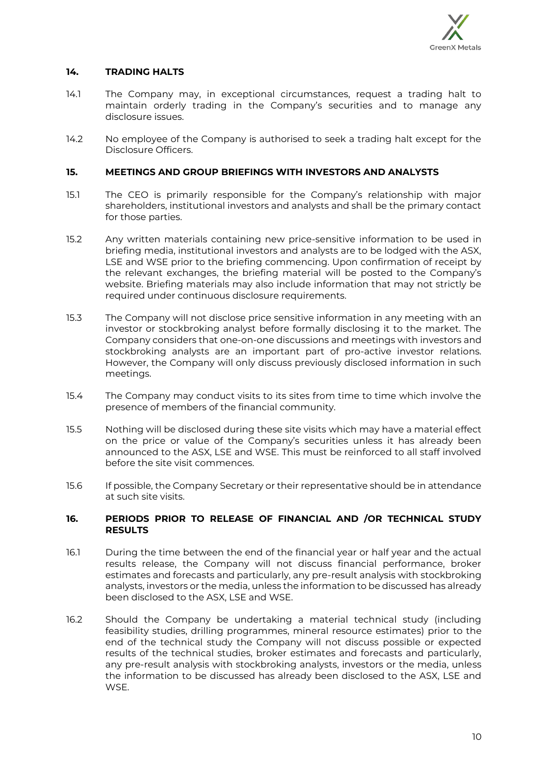

## **14. TRADING HALTS**

- 14.1 The Company may, in exceptional circumstances, request a trading halt to maintain orderly trading in the Company's securities and to manage any disclosure issues.
- 14.2 No employee of the Company is authorised to seek a trading halt except for the Disclosure Officers.

#### **15. MEETINGS AND GROUP BRIEFINGS WITH INVESTORS AND ANALYSTS**

- 15.1 The CEO is primarily responsible for the Company's relationship with major shareholders, institutional investors and analysts and shall be the primary contact for those parties.
- 15.2 Any written materials containing new price-sensitive information to be used in briefing media, institutional investors and analysts are to be lodged with the ASX, LSE and WSE prior to the briefing commencing. Upon confirmation of receipt by the relevant exchanges, the briefing material will be posted to the Company's website. Briefing materials may also include information that may not strictly be required under continuous disclosure requirements.
- 15.3 The Company will not disclose price sensitive information in any meeting with an investor or stockbroking analyst before formally disclosing it to the market. The Company considers that one-on-one discussions and meetings with investors and stockbroking analysts are an important part of pro-active investor relations. However, the Company will only discuss previously disclosed information in such meetings.
- 15.4 The Company may conduct visits to its sites from time to time which involve the presence of members of the financial community.
- 15.5 Nothing will be disclosed during these site visits which may have a material effect on the price or value of the Company's securities unless it has already been announced to the ASX, LSE and WSE. This must be reinforced to all staff involved before the site visit commences.
- 15.6 If possible, the Company Secretary or their representative should be in attendance at such site visits.

#### **16. PERIODS PRIOR TO RELEASE OF FINANCIAL AND /OR TECHNICAL STUDY RESULTS**

- 16.1 During the time between the end of the financial year or half year and the actual results release, the Company will not discuss financial performance, broker estimates and forecasts and particularly, any pre-result analysis with stockbroking analysts, investors or the media, unless the information to be discussed has already been disclosed to the ASX, LSE and WSE.
- 16.2 Should the Company be undertaking a material technical study (including feasibility studies, drilling programmes, mineral resource estimates) prior to the end of the technical study the Company will not discuss possible or expected results of the technical studies, broker estimates and forecasts and particularly, any pre-result analysis with stockbroking analysts, investors or the media, unless the information to be discussed has already been disclosed to the ASX, LSE and WSE.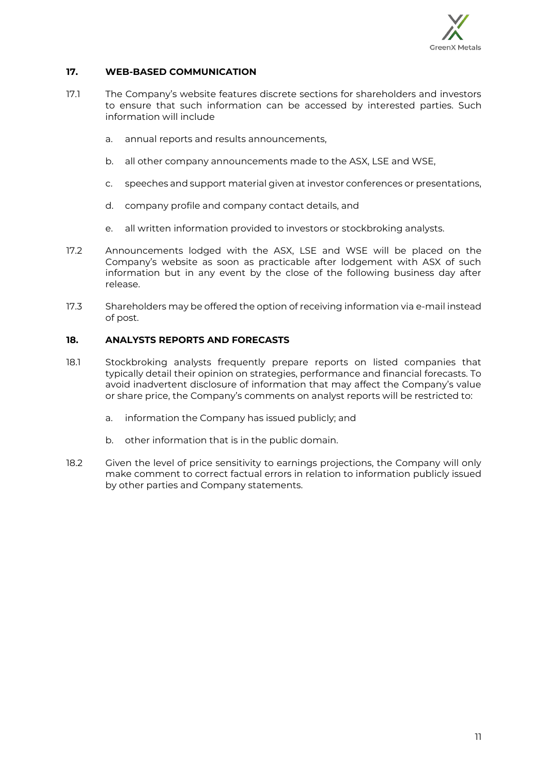

## **17. WEB-BASED COMMUNICATION**

- 17.1 The Company's website features discrete sections for shareholders and investors to ensure that such information can be accessed by interested parties. Such information will include
	- a. annual reports and results announcements,
	- b. all other company announcements made to the ASX, LSE and WSE,
	- c. speeches and support material given at investor conferences or presentations,
	- d. company profile and company contact details, and
	- e. all written information provided to investors or stockbroking analysts.
- 17.2 Announcements lodged with the ASX, LSE and WSE will be placed on the Company's website as soon as practicable after lodgement with ASX of such information but in any event by the close of the following business day after release.
- 17.3 Shareholders may be offered the option of receiving information via e-mail instead of post.

## **18. ANALYSTS REPORTS AND FORECASTS**

- 18.1 Stockbroking analysts frequently prepare reports on listed companies that typically detail their opinion on strategies, performance and financial forecasts. To avoid inadvertent disclosure of information that may affect the Company's value or share price, the Company's comments on analyst reports will be restricted to:
	- a. information the Company has issued publicly; and
	- b. other information that is in the public domain.
- 18.2 Given the level of price sensitivity to earnings projections, the Company will only make comment to correct factual errors in relation to information publicly issued by other parties and Company statements.